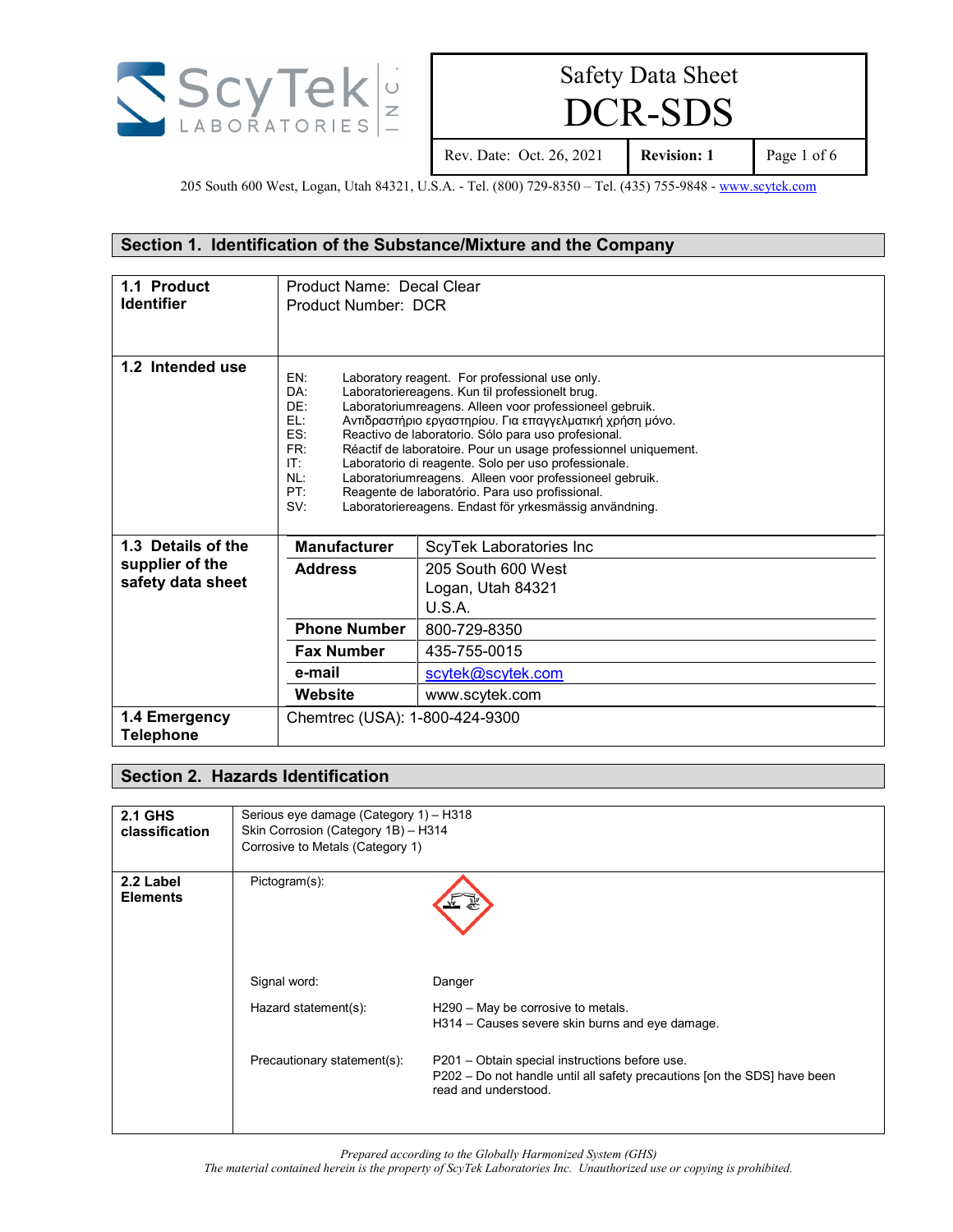

DCR-SDS

Rev. Date: Oct. 26, 2021 **Revision: 1** Page 1 of 6

205 South 600 West, Logan, Utah 84321, U.S.A. - Tel. (800) 729-8350 - Tel. (435) 755-9848 - [www.scytek.com](http://www.scytek.com/)

#### **Section 1. Identification of the Substance/Mixture and the Company**

| 1.1 Product<br><b>Identifier</b>     | Product Name: Decal Clear<br>Product Number: DCR                    |                                                                                                                                                                                                                                                                                                                                                                                                                                                                                                                                                                                    |
|--------------------------------------|---------------------------------------------------------------------|------------------------------------------------------------------------------------------------------------------------------------------------------------------------------------------------------------------------------------------------------------------------------------------------------------------------------------------------------------------------------------------------------------------------------------------------------------------------------------------------------------------------------------------------------------------------------------|
| 1.2 Intended use                     | EN:<br>DA:<br>DE:<br>EL:<br>ES:<br>FR:<br>IT:<br>NL:<br>PT:<br>SV:  | Laboratory reagent. For professional use only.<br>Laboratoriereagens. Kun til professionelt brug.<br>Laboratoriumreagens. Alleen voor professioneel gebruik.<br>Αντιδραστήριο εργαστηρίου. Για επαγγελματική χρήση μόνο.<br>Reactivo de laboratorio. Sólo para uso profesional.<br>Réactif de laboratoire. Pour un usage professionnel uniquement.<br>Laboratorio di reagente. Solo per uso professionale.<br>Laboratoriumreagens. Alleen voor professioneel gebruik.<br>Reagente de laboratório. Para uso profissional.<br>Laboratoriereagens. Endast för yrkesmässig användning. |
| 1.3 Details of the                   | <b>Manufacturer</b>                                                 | ScyTek Laboratories Inc                                                                                                                                                                                                                                                                                                                                                                                                                                                                                                                                                            |
| supplier of the<br>safety data sheet | <b>Address</b><br>205 South 600 West<br>Logan, Utah 84321<br>U.S.A. |                                                                                                                                                                                                                                                                                                                                                                                                                                                                                                                                                                                    |
|                                      | <b>Phone Number</b>                                                 | 800-729-8350                                                                                                                                                                                                                                                                                                                                                                                                                                                                                                                                                                       |
|                                      | <b>Fax Number</b>                                                   | 435-755-0015                                                                                                                                                                                                                                                                                                                                                                                                                                                                                                                                                                       |
|                                      | e-mail                                                              | scytek@scytek.com                                                                                                                                                                                                                                                                                                                                                                                                                                                                                                                                                                  |
|                                      | Website                                                             | www.scytek.com                                                                                                                                                                                                                                                                                                                                                                                                                                                                                                                                                                     |
| 1.4 Emergency<br><b>Telephone</b>    | Chemtrec (USA): 1-800-424-9300                                      |                                                                                                                                                                                                                                                                                                                                                                                                                                                                                                                                                                                    |

#### **Section 2. Hazards Identification**

| <b>2.1 GHS</b><br>classification | Serious eye damage (Category 1) - H318<br>Skin Corrosion (Category 1B) - H314<br>Corrosive to Metals (Category 1) |                                                                                                                                                    |
|----------------------------------|-------------------------------------------------------------------------------------------------------------------|----------------------------------------------------------------------------------------------------------------------------------------------------|
| 2.2 Label<br><b>Elements</b>     | Pictogram(s):<br>Signal word:                                                                                     | Danger                                                                                                                                             |
|                                  | Hazard statement(s):                                                                                              | H290 - May be corrosive to metals.<br>H314 – Causes severe skin burns and eye damage.                                                              |
|                                  | Precautionary statement(s):                                                                                       | P201 – Obtain special instructions before use.<br>P202 – Do not handle until all safety precautions [on the SDS] have been<br>read and understood. |

*Prepared according to the Globally Harmonized System (GHS)*

*The material contained herein is the property of ScyTek Laboratories Inc. Unauthorized use or copying is prohibited.*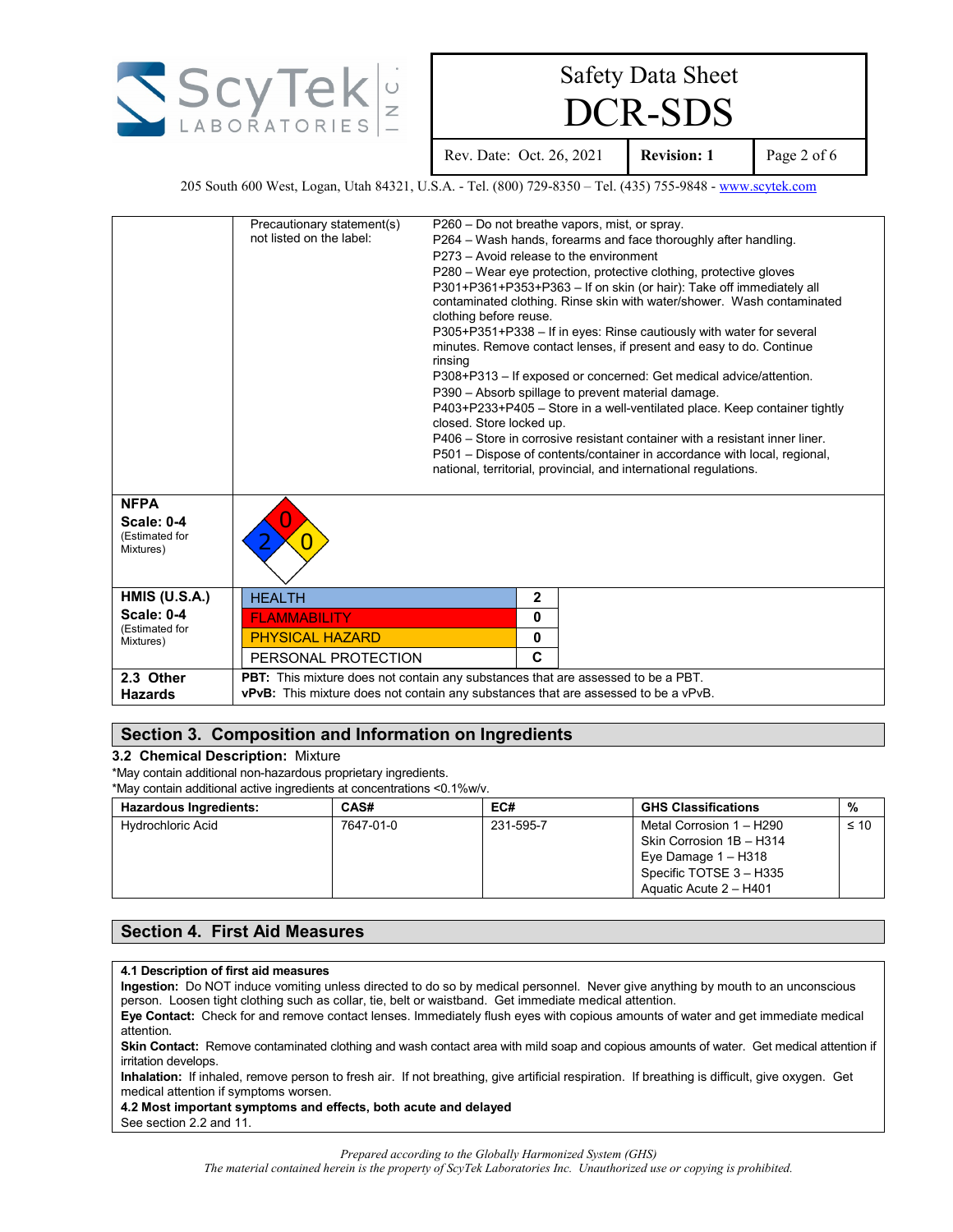

DCR-SDS

Rev. Date: Oct. 26, 2021 **Revision: 1** Page 2 of 6

205 South 600 West, Logan, Utah 84321, U.S.A. - Tel. (800) 729-8350 - Tel. (435) 755-9848 - [www.scytek.com](http://www.scytek.com/)

|                             | Precautionary statement(s)                                                              |                          |             | P260 – Do not breathe vapors, mist, or spray.                               |
|-----------------------------|-----------------------------------------------------------------------------------------|--------------------------|-------------|-----------------------------------------------------------------------------|
|                             | not listed on the label:                                                                |                          |             | P264 – Wash hands, forearms and face thoroughly after handling.             |
|                             |                                                                                         |                          |             | P273 - Avoid release to the environment                                     |
|                             |                                                                                         |                          |             | P280 - Wear eye protection, protective clothing, protective gloves          |
|                             |                                                                                         |                          |             | P301+P361+P353+P363 - If on skin (or hair): Take off immediately all        |
|                             |                                                                                         |                          |             | contaminated clothing. Rinse skin with water/shower. Wash contaminated      |
|                             |                                                                                         | clothing before reuse.   |             |                                                                             |
|                             |                                                                                         |                          |             | P305+P351+P338 - If in eyes: Rinse cautiously with water for several        |
|                             |                                                                                         | rinsing                  |             | minutes. Remove contact lenses, if present and easy to do. Continue         |
|                             |                                                                                         |                          |             | P308+P313 - If exposed or concerned: Get medical advice/attention.          |
|                             |                                                                                         |                          |             | P390 - Absorb spillage to prevent material damage.                          |
|                             |                                                                                         |                          |             | P403+P233+P405 - Store in a well-ventilated place. Keep container tightly   |
|                             |                                                                                         | closed. Store locked up. |             |                                                                             |
|                             |                                                                                         |                          |             | P406 – Store in corrosive resistant container with a resistant inner liner. |
|                             |                                                                                         |                          |             | P501 – Dispose of contents/container in accordance with local, regional,    |
|                             |                                                                                         |                          |             | national, territorial, provincial, and international regulations.           |
|                             |                                                                                         |                          |             |                                                                             |
| <b>NFPA</b>                 |                                                                                         |                          |             |                                                                             |
| Scale: 0-4                  |                                                                                         |                          |             |                                                                             |
| (Estimated for              |                                                                                         |                          |             |                                                                             |
| Mixtures)                   |                                                                                         |                          |             |                                                                             |
|                             |                                                                                         |                          |             |                                                                             |
|                             |                                                                                         |                          |             |                                                                             |
| <b>HMIS (U.S.A.)</b>        | <b>HEALTH</b>                                                                           |                          | $\mathbf 2$ |                                                                             |
| Scale: 0-4                  | <b>FLAMMABILITY</b>                                                                     |                          | 0           |                                                                             |
| (Estimated for<br>Mixtures) | <b>PHYSICAL HAZARD</b>                                                                  |                          | 0           |                                                                             |
|                             | PERSONAL PROTECTION                                                                     |                          | C           |                                                                             |
| 2.3 Other                   | <b>PBT:</b> This mixture does not contain any substances that are assessed to be a PBT. |                          |             |                                                                             |
| <b>Hazards</b>              | vPvB: This mixture does not contain any substances that are assessed to be a vPvB.      |                          |             |                                                                             |
|                             |                                                                                         |                          |             |                                                                             |

#### **Section 3. Composition and Information on Ingredients**

#### **3.2 Chemical Description:** Mixture

\*May contain additional non-hazardous proprietary ingredients.

\*May contain additional active ingredients at concentrations <0.1%w/v.

| Hazardous Ingredients: | CAS#      | EC#       | <b>GHS Classifications</b> | %         |
|------------------------|-----------|-----------|----------------------------|-----------|
| Hydrochloric Acid      | 7647-01-0 | 231-595-7 | Metal Corrosion 1 – H290   | $\leq 10$ |
|                        |           |           | Skin Corrosion 1B - H314   |           |
|                        |           |           | Eye Damage $1 - H318$      |           |
|                        |           |           | Specific TOTSE 3 - H335    |           |
|                        |           |           | Aquatic Acute 2 - H401     |           |

#### **Section 4. First Aid Measures**

#### **4.1 Description of first aid measures**

**Ingestion:** Do NOT induce vomiting unless directed to do so by medical personnel. Never give anything by mouth to an unconscious person. Loosen tight clothing such as collar, tie, belt or waistband. Get immediate medical attention.

**Eye Contact:** Check for and remove contact lenses. Immediately flush eyes with copious amounts of water and get immediate medical attention.

**Skin Contact:** Remove contaminated clothing and wash contact area with mild soap and copious amounts of water. Get medical attention if irritation develops.

**Inhalation:** If inhaled, remove person to fresh air. If not breathing, give artificial respiration. If breathing is difficult, give oxygen. Get medical attention if symptoms worsen.

**4.2 Most important symptoms and effects, both acute and delayed**

See section 2.2 and 11.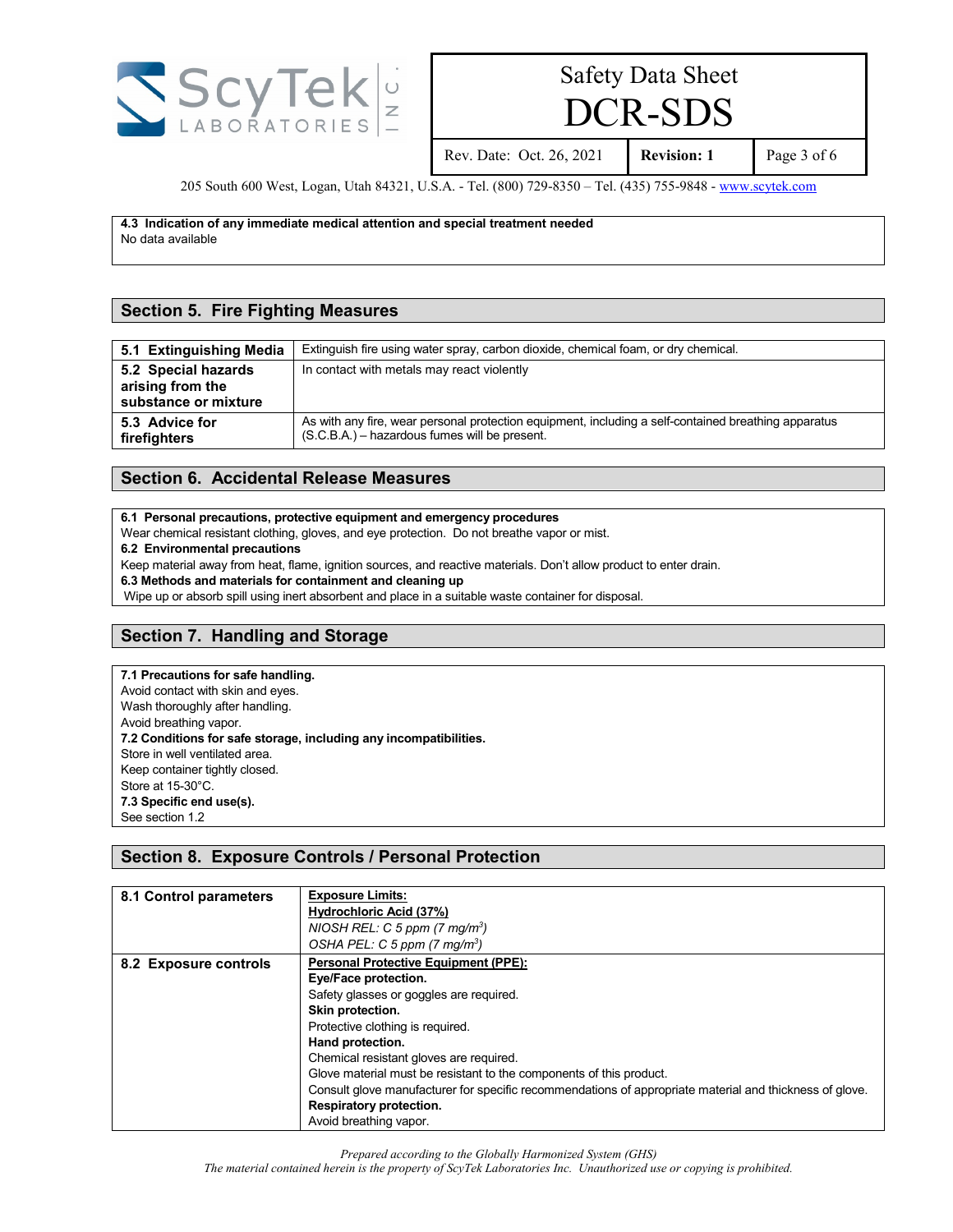

DCR-SDS

Rev. Date: Oct. 26, 2021 **Revision: 1** Page 3 of 6

205 South 600 West, Logan, Utah 84321, U.S.A. - Tel. (800) 729-8350 - Tel. (435) 755-9848 - [www.scytek.com](http://www.scytek.com/)

**4.3 Indication of any immediate medical attention and special treatment needed** No data available

#### **Section 5. Fire Fighting Measures**

| 5.1 Extinguishing Media                                         | Extinguish fire using water spray, carbon dioxide, chemical foam, or dry chemical.                                                                      |
|-----------------------------------------------------------------|---------------------------------------------------------------------------------------------------------------------------------------------------------|
| 5.2 Special hazards<br>arising from the<br>substance or mixture | In contact with metals may react violently                                                                                                              |
| 5.3 Advice for<br>firefighters                                  | As with any fire, wear personal protection equipment, including a self-contained breathing apparatus<br>$(S.C.B.A.)$ – hazardous fumes will be present. |

#### **Section 6. Accidental Release Measures**

**6.1 Personal precautions, protective equipment and emergency procedures**

Wear chemical resistant clothing, gloves, and eye protection. Do not breathe vapor or mist.

**6.2 Environmental precautions**

Keep material away from heat, flame, ignition sources, and reactive materials. Don't allow product to enter drain.

**6.3 Methods and materials for containment and cleaning up**

Wipe up or absorb spill using inert absorbent and place in a suitable waste container for disposal.

#### **Section 7. Handling and Storage**

#### **7.1 Precautions for safe handling.**

Avoid contact with skin and eyes. Wash thoroughly after handling. Avoid breathing vapor. **7.2 Conditions for safe storage, including any incompatibilities.** Store in well ventilated area. Keep container tightly closed. Store at 15-30°C. **7.3 Specific end use(s).** See section 1.2

#### **Section 8. Exposure Controls / Personal Protection**

| 8.1 Control parameters | <b>Exposure Limits:</b>                                                                                 |
|------------------------|---------------------------------------------------------------------------------------------------------|
|                        | Hydrochloric Acid (37%)                                                                                 |
|                        | NIOSH REL: C 5 ppm $(7 \text{ mg/m}^3)$                                                                 |
|                        | OSHA PEL: C 5 ppm $(7 \text{ mg/m}^3)$                                                                  |
| 8.2 Exposure controls  | <b>Personal Protective Equipment (PPE):</b>                                                             |
|                        | Eye/Face protection.                                                                                    |
|                        | Safety glasses or goggles are required.                                                                 |
|                        | Skin protection.                                                                                        |
|                        | Protective clothing is required.                                                                        |
|                        | Hand protection.                                                                                        |
|                        | Chemical resistant gloves are required.                                                                 |
|                        | Glove material must be resistant to the components of this product.                                     |
|                        | Consult glove manufacturer for specific recommendations of appropriate material and thickness of glove. |
|                        | Respiratory protection.                                                                                 |
|                        | Avoid breathing vapor.                                                                                  |

*Prepared according to the Globally Harmonized System (GHS) The material contained herein is the property of ScyTek Laboratories Inc. Unauthorized use or copying is prohibited.*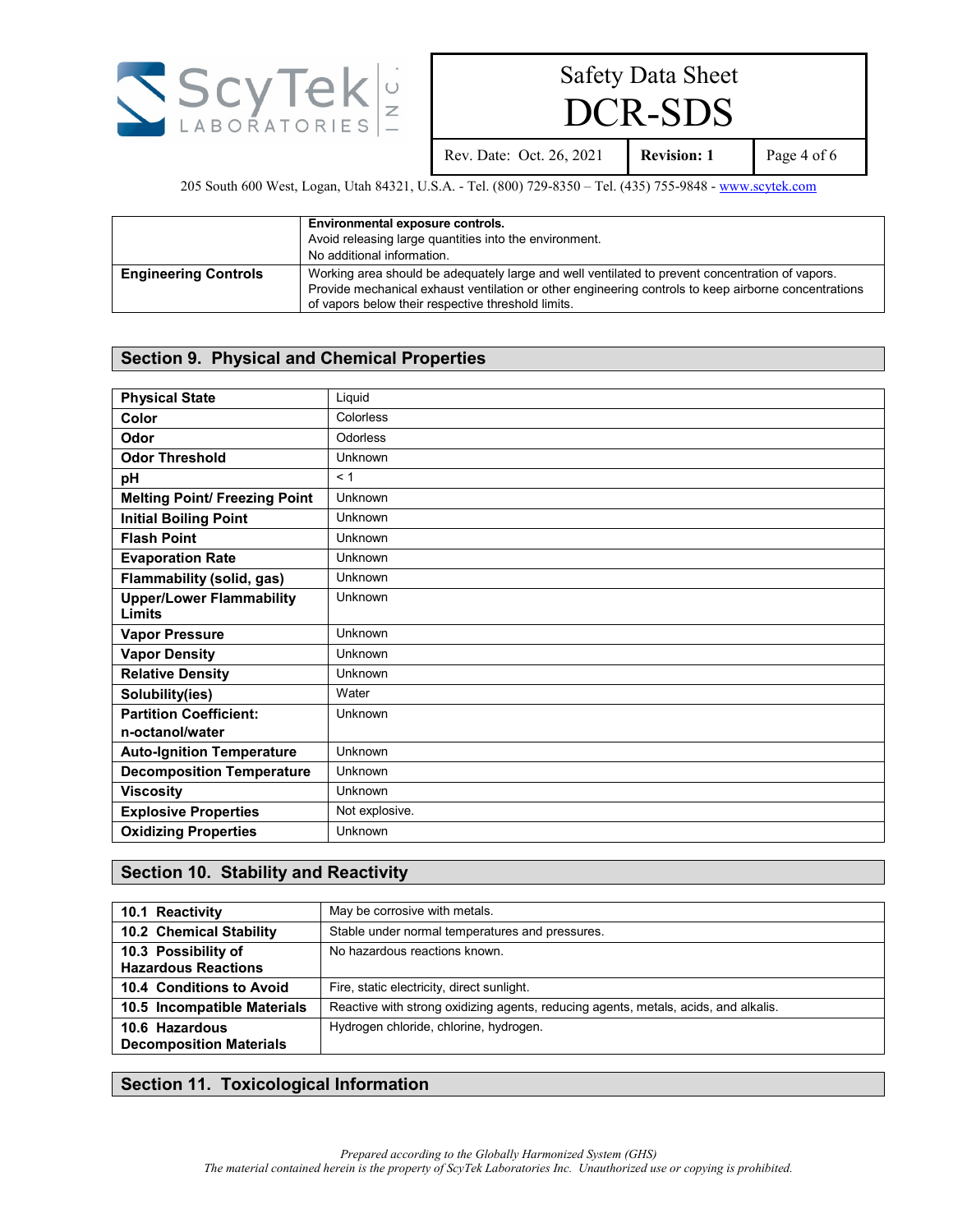

DCR-SDS

Rev. Date: Oct. 26, 2021 **Revision: 1** Page 4 of 6

205 South 600 West, Logan, Utah 84321, U.S.A. - Tel. (800) 729-8350 – Tel. (435) 755-9848 - [www.scytek.com](http://www.scytek.com/)

|                             | Environmental exposure controls.<br>Avoid releasing large quantities into the environment.<br>No additional information.                                                                                                                                      |
|-----------------------------|---------------------------------------------------------------------------------------------------------------------------------------------------------------------------------------------------------------------------------------------------------------|
| <b>Engineering Controls</b> | Working area should be adequately large and well ventilated to prevent concentration of vapors.<br>Provide mechanical exhaust ventilation or other engineering controls to keep airborne concentrations<br>of vapors below their respective threshold limits. |

#### **Section 9. Physical and Chemical Properties**

| <b>Physical State</b>                            | Liquid         |
|--------------------------------------------------|----------------|
| Color                                            | Colorless      |
| Odor                                             | Odorless       |
| <b>Odor Threshold</b>                            | Unknown        |
| pH                                               | < 1            |
| <b>Melting Point/ Freezing Point</b>             | Unknown        |
| <b>Initial Boiling Point</b>                     | Unknown        |
| <b>Flash Point</b>                               | Unknown        |
| <b>Evaporation Rate</b>                          | Unknown        |
| Flammability (solid, gas)                        | Unknown        |
| <b>Upper/Lower Flammability</b><br><b>Limits</b> | Unknown        |
| <b>Vapor Pressure</b>                            | Unknown        |
| <b>Vapor Density</b>                             | Unknown        |
| <b>Relative Density</b>                          | Unknown        |
| Solubility(ies)                                  | Water          |
| <b>Partition Coefficient:</b>                    | <b>Unknown</b> |
| n-octanol/water                                  |                |
| <b>Auto-Ignition Temperature</b>                 | Unknown        |
| <b>Decomposition Temperature</b>                 | Unknown        |
| <b>Viscosity</b>                                 | Unknown        |
| <b>Explosive Properties</b>                      | Not explosive. |
| <b>Oxidizing Properties</b>                      | Unknown        |

#### **Section 10. Stability and Reactivity**

| 10.1 Reactivity                                   | May be corrosive with metals.                                                       |
|---------------------------------------------------|-------------------------------------------------------------------------------------|
| 10.2 Chemical Stability                           | Stable under normal temperatures and pressures.                                     |
| 10.3 Possibility of<br><b>Hazardous Reactions</b> | No hazardous reactions known.                                                       |
| 10.4 Conditions to Avoid                          | Fire, static electricity, direct sunlight.                                          |
| 10.5 Incompatible Materials                       | Reactive with strong oxidizing agents, reducing agents, metals, acids, and alkalis. |
| 10.6 Hazardous<br><b>Decomposition Materials</b>  | Hydrogen chloride, chlorine, hydrogen.                                              |

#### **Section 11. Toxicological Information**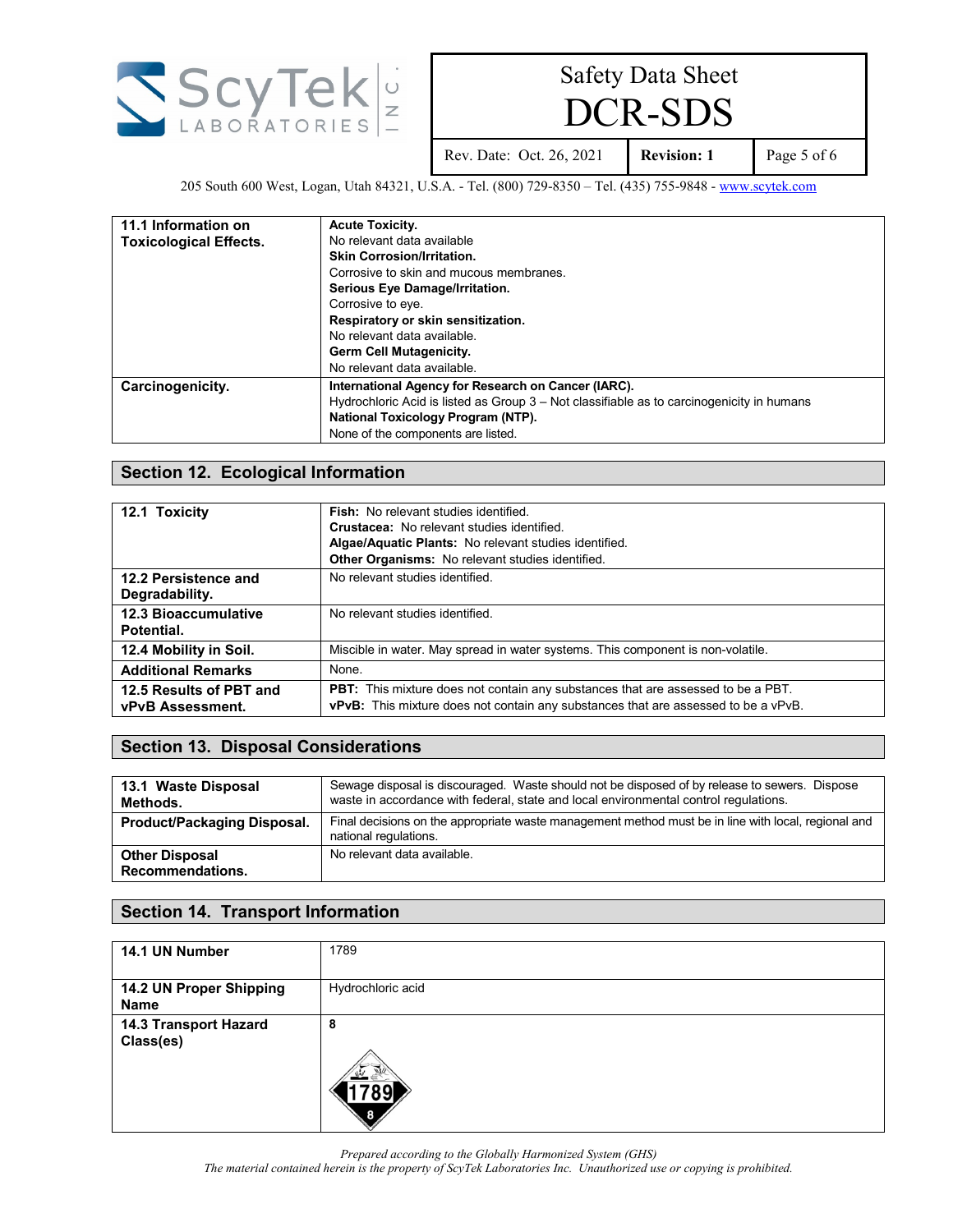

DCR-SDS

Rev. Date: Oct. 26, 2021 **Revision: 1** Page 5 of 6

205 South 600 West, Logan, Utah 84321, U.S.A. - Tel. (800) 729-8350 – Tel. (435) 755-9848 - [www.scytek.com](http://www.scytek.com/)

| 11.1 Information on           | <b>Acute Toxicity.</b>                                                                    |
|-------------------------------|-------------------------------------------------------------------------------------------|
| <b>Toxicological Effects.</b> | No relevant data available                                                                |
|                               | <b>Skin Corrosion/Irritation.</b>                                                         |
|                               | Corrosive to skin and mucous membranes.                                                   |
|                               | Serious Eye Damage/Irritation.                                                            |
|                               | Corrosive to eye.                                                                         |
|                               | Respiratory or skin sensitization.                                                        |
|                               | No relevant data available                                                                |
|                               | <b>Germ Cell Mutagenicity.</b>                                                            |
|                               | No relevant data available.                                                               |
| Carcinogenicity.              | International Agency for Research on Cancer (IARC).                                       |
|                               | Hydrochloric Acid is listed as Group 3 – Not classifiable as to carcinogenicity in humans |
|                               | National Toxicology Program (NTP).                                                        |
|                               | None of the components are listed.                                                        |

#### **Section 12. Ecological Information**

| 12.1 Toxicity               | <b>Fish:</b> No relevant studies identified.                                              |
|-----------------------------|-------------------------------------------------------------------------------------------|
|                             | <b>Crustacea:</b> No relevant studies identified.                                         |
|                             | Algae/Aquatic Plants: No relevant studies identified.                                     |
|                             | Other Organisms: No relevant studies identified.                                          |
| 12.2 Persistence and        | No relevant studies identified.                                                           |
| Degradability.              |                                                                                           |
| <b>12.3 Bioaccumulative</b> | No relevant studies identified.                                                           |
| Potential.                  |                                                                                           |
| 12.4 Mobility in Soil.      | Miscible in water. May spread in water systems. This component is non-volatile.           |
| <b>Additional Remarks</b>   | None.                                                                                     |
| 12.5 Results of PBT and     | <b>PBT:</b> This mixture does not contain any substances that are assessed to be a PBT.   |
| <b>vPvB Assessment.</b>     | <b>vPvB:</b> This mixture does not contain any substances that are assessed to be a vPvB. |

#### **Section 13. Disposal Considerations**

| 13.1 Waste Disposal<br>Methods.           | Sewage disposal is discouraged. Waste should not be disposed of by release to sewers. Dispose<br>waste in accordance with federal, state and local environmental control regulations. |
|-------------------------------------------|---------------------------------------------------------------------------------------------------------------------------------------------------------------------------------------|
| <b>Product/Packaging Disposal.</b>        | Final decisions on the appropriate waste management method must be in line with local, regional and<br>national regulations.                                                          |
| <b>Other Disposal</b><br>Recommendations. | No relevant data available.                                                                                                                                                           |

#### **Section 14. Transport Information**

| 14.1 UN Number          | 1789              |
|-------------------------|-------------------|
|                         |                   |
| 14.2 UN Proper Shipping | Hydrochloric acid |
| <b>Name</b>             |                   |
| 14.3 Transport Hazard   | 8                 |
| Class(es)               |                   |
|                         |                   |

*Prepared according to the Globally Harmonized System (GHS)*

*The material contained herein is the property of ScyTek Laboratories Inc. Unauthorized use or copying is prohibited.*